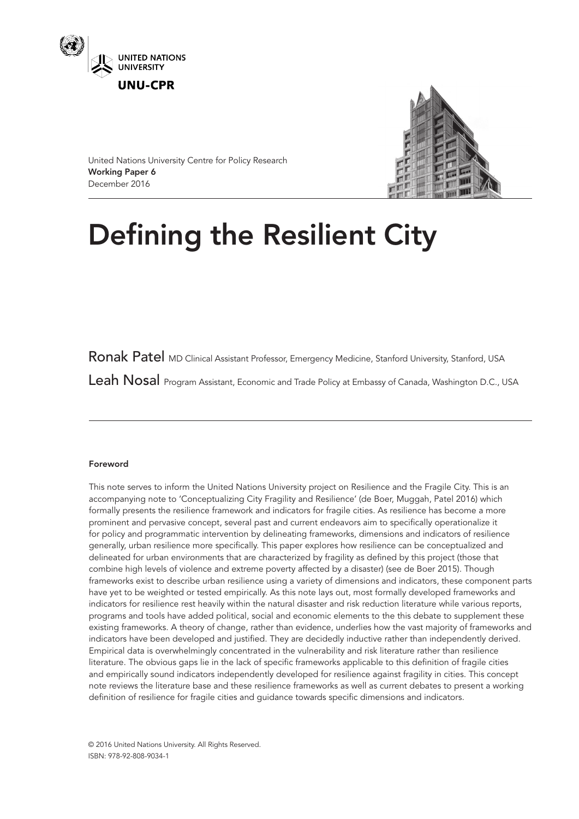



United Nations University Centre for Policy Research Working Paper 6 December 2016

# Defining the Resilient City

Ronak Patel MD Clinical Assistant Professor, Emergency Medicine, Stanford University, Stanford, USA Leah Nosal Program Assistant, Economic and Trade Policy at Embassy of Canada, Washington D.C., USA

# Foreword

This note serves to inform the United Nations University project on Resilience and the Fragile City. This is an accompanying note to 'Conceptualizing City Fragility and Resilience' (de Boer, Muggah, Patel 2016) which formally presents the resilience framework and indicators for fragile cities. As resilience has become a more prominent and pervasive concept, several past and current endeavors aim to specifically operationalize it for policy and programmatic intervention by delineating frameworks, dimensions and indicators of resilience generally, urban resilience more specifically. This paper explores how resilience can be conceptualized and delineated for urban environments that are characterized by fragility as defined by this project (those that combine high levels of violence and extreme poverty affected by a disaster) (see de Boer 2015). Though frameworks exist to describe urban resilience using a variety of dimensions and indicators, these component parts have yet to be weighted or tested empirically. As this note lays out, most formally developed frameworks and indicators for resilience rest heavily within the natural disaster and risk reduction literature while various reports, programs and tools have added political, social and economic elements to the this debate to supplement these existing frameworks. A theory of change, rather than evidence, underlies how the vast majority of frameworks and indicators have been developed and justified. They are decidedly inductive rather than independently derived. Empirical data is overwhelmingly concentrated in the vulnerability and risk literature rather than resilience literature. The obvious gaps lie in the lack of specific frameworks applicable to this definition of fragile cities and empirically sound indicators independently developed for resilience against fragility in cities. This concept note reviews the literature base and these resilience frameworks as well as current debates to present a working definition of resilience for fragile cities and guidance towards specific dimensions and indicators.

© 2016 United Nations University. All Rights Reserved. ISBN: 978-92-808-9034-1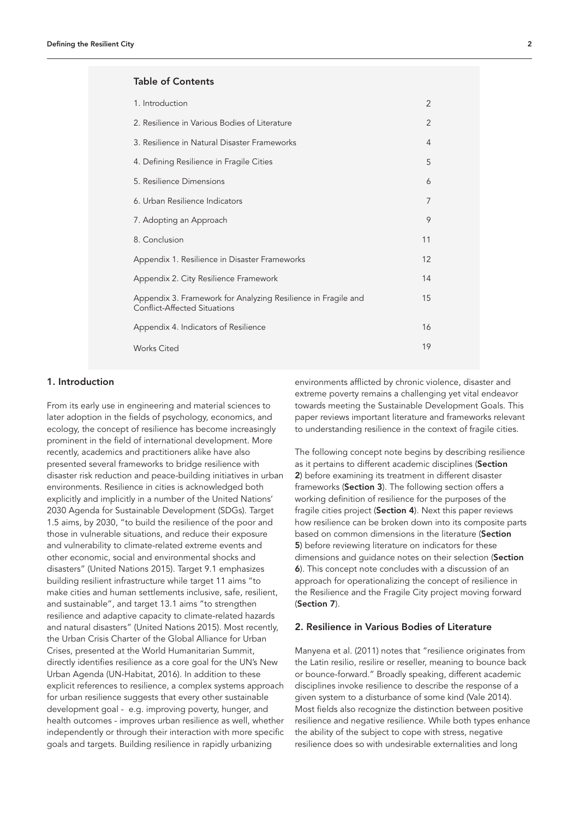# Table of Contents

| 1. Introduction                                                                                      | 2  |  |
|------------------------------------------------------------------------------------------------------|----|--|
| 2. Resilience in Various Bodies of Literature                                                        | 2  |  |
| 3. Resilience in Natural Disaster Frameworks                                                         | 4  |  |
| 4. Defining Resilience in Fragile Cities                                                             | 5  |  |
| 5. Resilience Dimensions                                                                             | 6  |  |
| 6. Urban Resilience Indicators                                                                       | 7  |  |
| 7. Adopting an Approach                                                                              | 9  |  |
| 8. Conclusion                                                                                        | 11 |  |
| Appendix 1. Resilience in Disaster Frameworks                                                        | 12 |  |
| Appendix 2. City Resilience Framework                                                                | 14 |  |
| Appendix 3. Framework for Analyzing Resilience in Fragile and<br><b>Conflict-Affected Situations</b> | 15 |  |
| Appendix 4. Indicators of Resilience                                                                 | 16 |  |
| <b>Works Cited</b>                                                                                   | 19 |  |
|                                                                                                      |    |  |

## 1. Introduction

From its early use in engineering and material sciences to later adoption in the fields of psychology, economics, and ecology, the concept of resilience has become increasingly prominent in the field of international development. More recently, academics and practitioners alike have also presented several frameworks to bridge resilience with disaster risk reduction and peace-building initiatives in urban environments. Resilience in cities is acknowledged both explicitly and implicitly in a number of the United Nations' 2030 Agenda for Sustainable Development (SDGs). Target 1.5 aims, by 2030, "to build the resilience of the poor and those in vulnerable situations, and reduce their exposure and vulnerability to climate-related extreme events and other economic, social and environmental shocks and disasters" (United Nations 2015). Target 9.1 emphasizes building resilient infrastructure while target 11 aims "to make cities and human settlements inclusive, safe, resilient, and sustainable", and target 13.1 aims "to strengthen resilience and adaptive capacity to climate-related hazards and natural disasters" (United Nations 2015). Most recently, the Urban Crisis Charter of the Global Alliance for Urban Crises, presented at the World Humanitarian Summit, directly identifies resilience as a core goal for the UN's New Urban Agenda (UN-Habitat, 2016). In addition to these explicit references to resilience, a complex systems approach for urban resilience suggests that every other sustainable development goal - e.g. improving poverty, hunger, and health outcomes - improves urban resilience as well, whether independently or through their interaction with more specific goals and targets. Building resilience in rapidly urbanizing

environments afflicted by chronic violence, disaster and extreme poverty remains a challenging yet vital endeavor towards meeting the Sustainable Development Goals. This paper reviews important literature and frameworks relevant to understanding resilience in the context of fragile cities.

The following concept note begins by describing resilience as it pertains to different academic disciplines (Section 2) before examining its treatment in different disaster frameworks (Section 3). The following section offers a working definition of resilience for the purposes of the fragile cities project (Section 4). Next this paper reviews how resilience can be broken down into its composite parts based on common dimensions in the literature (Section 5) before reviewing literature on indicators for these dimensions and quidance notes on their selection (Section 6). This concept note concludes with a discussion of an approach for operationalizing the concept of resilience in the Resilience and the Fragile City project moving forward (Section 7).

## 2. Resilience in Various Bodies of Literature

Manyena et al. (2011) notes that "resilience originates from the Latin resilio, resilire or reseller, meaning to bounce back or bounce-forward." Broadly speaking, different academic disciplines invoke resilience to describe the response of a given system to a disturbance of some kind (Vale 2014). Most fields also recognize the distinction between positive resilience and negative resilience. While both types enhance the ability of the subject to cope with stress, negative resilience does so with undesirable externalities and long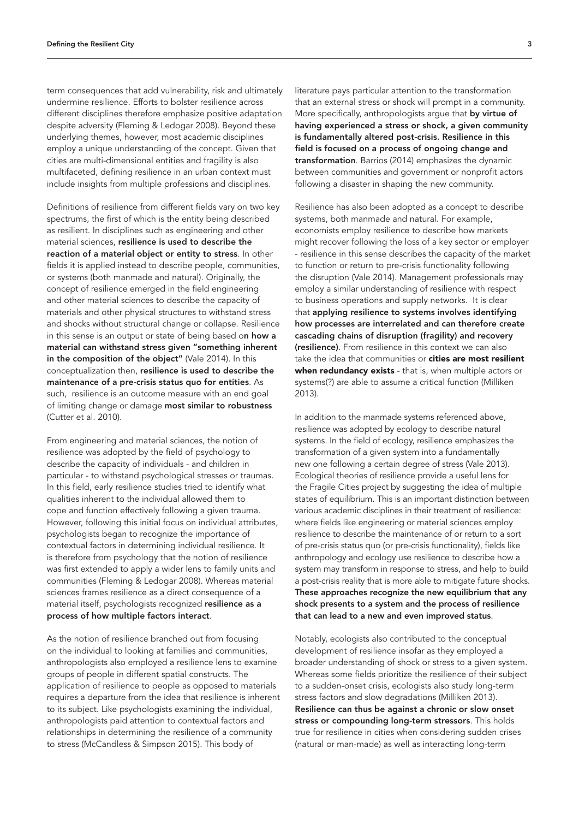term consequences that add vulnerability, risk and ultimately undermine resilience. Efforts to bolster resilience across different disciplines therefore emphasize positive adaptation despite adversity (Fleming & Ledogar 2008). Beyond these underlying themes, however, most academic disciplines employ a unique understanding of the concept. Given that cities are multi-dimensional entities and fragility is also multifaceted, defining resilience in an urban context must include insights from multiple professions and disciplines.

Definitions of resilience from different fields vary on two key spectrums, the first of which is the entity being described as resilient. In disciplines such as engineering and other material sciences, resilience is used to describe the reaction of a material object or entity to stress. In other fields it is applied instead to describe people, communities, or systems (both manmade and natural). Originally, the concept of resilience emerged in the field engineering and other material sciences to describe the capacity of materials and other physical structures to withstand stress and shocks without structural change or collapse. Resilience in this sense is an output or state of being based on how a material can withstand stress given "something inherent in the composition of the object" (Vale 2014). In this conceptualization then, resilience is used to describe the maintenance of a pre-crisis status quo for entities. As such, resilience is an outcome measure with an end goal of limiting change or damage most similar to robustness (Cutter et al. 2010).

From engineering and material sciences, the notion of resilience was adopted by the field of psychology to describe the capacity of individuals - and children in particular - to withstand psychological stresses or traumas. In this field, early resilience studies tried to identify what qualities inherent to the individual allowed them to cope and function effectively following a given trauma. However, following this initial focus on individual attributes, psychologists began to recognize the importance of contextual factors in determining individual resilience. It is therefore from psychology that the notion of resilience was first extended to apply a wider lens to family units and communities (Fleming & Ledogar 2008). Whereas material sciences frames resilience as a direct consequence of a material itself, psychologists recognized resilience as a process of how multiple factors interact.

As the notion of resilience branched out from focusing on the individual to looking at families and communities, anthropologists also employed a resilience lens to examine groups of people in different spatial constructs. The application of resilience to people as opposed to materials requires a departure from the idea that resilience is inherent to its subject. Like psychologists examining the individual, anthropologists paid attention to contextual factors and relationships in determining the resilience of a community to stress (McCandless & Simpson 2015). This body of

literature pays particular attention to the transformation that an external stress or shock will prompt in a community. More specifically, anthropologists argue that by virtue of having experienced a stress or shock, a given community is fundamentally altered post-crisis. Resilience in this field is focused on a process of ongoing change and transformation. Barrios (2014) emphasizes the dynamic between communities and government or nonprofit actors following a disaster in shaping the new community.

Resilience has also been adopted as a concept to describe systems, both manmade and natural. For example, economists employ resilience to describe how markets might recover following the loss of a key sector or employer - resilience in this sense describes the capacity of the market to function or return to pre-crisis functionality following the disruption (Vale 2014). Management professionals may employ a similar understanding of resilience with respect to business operations and supply networks. It is clear that applying resilience to systems involves identifying how processes are interrelated and can therefore create cascading chains of disruption (fragility) and recovery (resilience). From resilience in this context we can also take the idea that communities or **cities are most resilient** when redundancy exists - that is, when multiple actors or systems(?) are able to assume a critical function (Milliken 2013).

In addition to the manmade systems referenced above, resilience was adopted by ecology to describe natural systems. In the field of ecology, resilience emphasizes the transformation of a given system into a fundamentally new one following a certain degree of stress (Vale 2013). Ecological theories of resilience provide a useful lens for the Fragile Cities project by suggesting the idea of multiple states of equilibrium. This is an important distinction between various academic disciplines in their treatment of resilience: where fields like engineering or material sciences employ resilience to describe the maintenance of or return to a sort of pre-crisis status quo (or pre-crisis functionality), fields like anthropology and ecology use resilience to describe how a system may transform in response to stress, and help to build a post-crisis reality that is more able to mitigate future shocks. These approaches recognize the new equilibrium that any shock presents to a system and the process of resilience that can lead to a new and even improved status.

Notably, ecologists also contributed to the conceptual development of resilience insofar as they employed a broader understanding of shock or stress to a given system. Whereas some fields prioritize the resilience of their subject to a sudden-onset crisis, ecologists also study long-term stress factors and slow degradations (Milliken 2013). Resilience can thus be against a chronic or slow onset stress or compounding long-term stressors. This holds true for resilience in cities when considering sudden crises (natural or man-made) as well as interacting long-term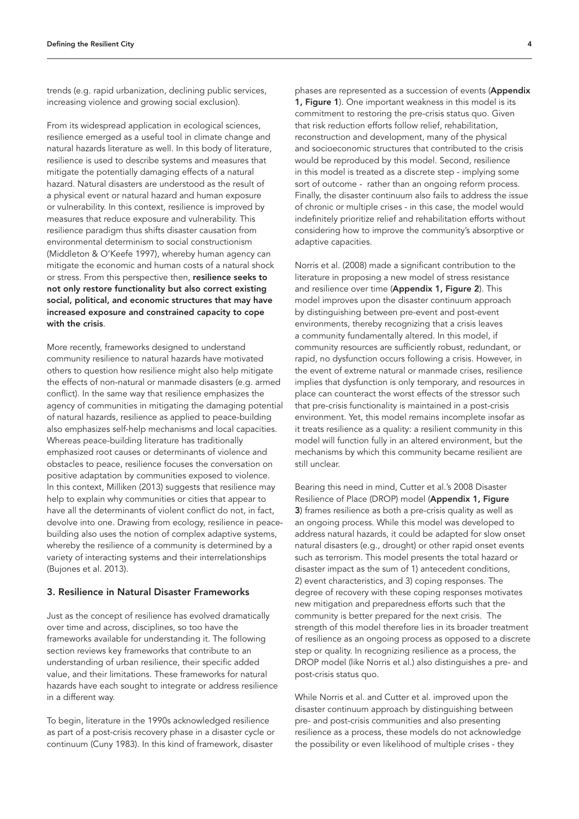trends (e.g. rapid urbanization, declining public services, increasing violence and growing social exclusion).

From its widespread application in ecological sciences, resilience emerged as a useful tool in climate change and natural hazards literature as well. In this body of literature, resilience is used to describe systems and measures that mitigate the potentially damaging effects of a natural hazard. Natural disasters are understood as the result of a physical event or natural hazard and human exposure or vulnerability. In this context, resilience is improved by measures that reduce exposure and vulnerability. This resilience paradigm thus shifts disaster causation from environmental determinism to social constructionism (Middleton & O'Keefe 1997), whereby human agency can mitigate the economic and human costs of a natural shock or stress. From this perspective then, resilience seeks to not only restore functionality but also correct existing social, political, and economic structures that may have increased exposure and constrained capacity to cope with the crisis.

More recently, frameworks designed to understand community resilience to natural hazards have motivated others to question how resilience might also help mitigate the effects of non-natural or manmade disasters (e.g. armed conflict). In the same way that resilience emphasizes the agency of communities in mitigating the damaging potential of natural hazards, resilience as applied to peace-building also emphasizes self-help mechanisms and local capacities. Whereas peace-building literature has traditionally emphasized root causes or determinants of violence and obstacles to peace, resilience focuses the conversation on positive adaptation by communities exposed to violence. In this context, Milliken (2013) suggests that resilience may help to explain why communities or cities that appear to have all the determinants of violent conflict do not, in fact, devolve into one. Drawing from ecology, resilience in peacebuilding also uses the notion of complex adaptive systems, whereby the resilience of a community is determined by a variety of interacting systems and their interrelationships (Bujones et al. 2013).

# 3. Resilience in Natural Disaster Frameworks

Just as the concept of resilience has evolved dramatically over time and across, disciplines, so too have the frameworks available for understanding it. The following section reviews key frameworks that contribute to an understanding of urban resilience, their specific added value, and their limitations. These frameworks for natural hazards have each sought to integrate or address resilience in a different way.

To begin, literature in the 1990s acknowledged resilience as part of a post-crisis recovery phase in a disaster cycle or continuum (Cuny 1983). In this kind of framework, disaster

phases are represented as a succession of events (Appendix 1, Figure 1). One important weakness in this model is its commitment to restoring the pre-crisis status quo. Given that risk reduction efforts follow relief, rehabilitation, reconstruction and development, many of the physical and socioeconomic structures that contributed to the crisis would be reproduced by this model. Second, resilience in this model is treated as a discrete step - implying some sort of outcome - rather than an ongoing reform process. Finally, the disaster continuum also fails to address the issue of chronic or multiple crises - in this case, the model would indefinitely prioritize relief and rehabilitation efforts without considering how to improve the community's absorptive or adaptive capacities.

Norris et al. (2008) made a significant contribution to the literature in proposing a new model of stress resistance and resilience over time (Appendix 1, Figure 2). This model improves upon the disaster continuum approach by distinguishing between pre-event and post-event environments, thereby recognizing that a crisis leaves a community fundamentally altered. In this model, if community resources are sufficiently robust, redundant, or rapid, no dysfunction occurs following a crisis. However, in the event of extreme natural or manmade crises, resilience implies that dysfunction is only temporary, and resources in place can counteract the worst effects of the stressor such that pre-crisis functionality is maintained in a post-crisis environment. Yet, this model remains incomplete insofar as it treats resilience as a quality: a resilient community in this model will function fully in an altered environment, but the mechanisms by which this community became resilient are still unclear.

Bearing this need in mind, Cutter et al.'s 2008 Disaster Resilience of Place (DROP) model (Appendix 1, Figure 3) frames resilience as both a pre-crisis quality as well as an ongoing process. While this model was developed to address natural hazards, it could be adapted for slow onset natural disasters (e.g., drought) or other rapid onset events such as terrorism. This model presents the total hazard or disaster impact as the sum of 1) antecedent conditions, 2) event characteristics, and 3) coping responses. The degree of recovery with these coping responses motivates new mitigation and preparedness efforts such that the community is better prepared for the next crisis. The strength of this model therefore lies in its broader treatment of resilience as an ongoing process as opposed to a discrete step or quality. In recognizing resilience as a process, the DROP model (like Norris et al.) also distinguishes a pre- and post-crisis status quo.

While Norris et al. and Cutter et al. improved upon the disaster continuum approach by distinguishing between pre- and post-crisis communities and also presenting resilience as a process, these models do not acknowledge the possibility or even likelihood of multiple crises - they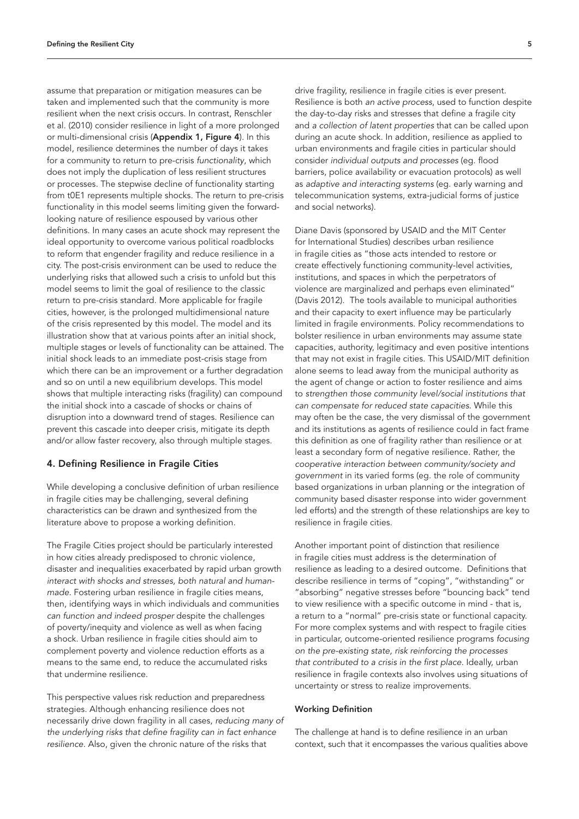assume that preparation or mitigation measures can be taken and implemented such that the community is more resilient when the next crisis occurs. In contrast, Renschler et al. (2010) consider resilience in light of a more prolonged or multi-dimensional crisis (Appendix 1, Figure 4). In this model, resilience determines the number of days it takes for a community to return to pre-crisis *functionality*, which does not imply the duplication of less resilient structures or processes. The stepwise decline of functionality starting from t0E1 represents multiple shocks. The return to pre-crisis functionality in this model seems limiting given the forwardlooking nature of resilience espoused by various other definitions. In many cases an acute shock may represent the ideal opportunity to overcome various political roadblocks to reform that engender fragility and reduce resilience in a city. The post-crisis environment can be used to reduce the underlying risks that allowed such a crisis to unfold but this model seems to limit the goal of resilience to the classic return to pre-crisis standard. More applicable for fragile cities, however, is the prolonged multidimensional nature of the crisis represented by this model. The model and its illustration show that at various points after an initial shock, multiple stages or levels of functionality can be attained. The initial shock leads to an immediate post-crisis stage from which there can be an improvement or a further degradation and so on until a new equilibrium develops. This model shows that multiple interacting risks (fragility) can compound the initial shock into a cascade of shocks or chains of disruption into a downward trend of stages. Resilience can prevent this cascade into deeper crisis, mitigate its depth and/or allow faster recovery, also through multiple stages.

## 4. Defining Resilience in Fragile Cities

While developing a conclusive definition of urban resilience in fragile cities may be challenging, several defining characteristics can be drawn and synthesized from the literature above to propose a working definition.

The Fragile Cities project should be particularly interested in how cities already predisposed to chronic violence, disaster and inequalities exacerbated by rapid urban growth *interact with shocks and stresses, both natural and humanmade*. Fostering urban resilience in fragile cities means, then, identifying ways in which individuals and communities *can function and indeed prosper* despite the challenges of poverty/inequity and violence as well as when facing a shock. Urban resilience in fragile cities should aim to complement poverty and violence reduction efforts as a means to the same end, to reduce the accumulated risks that undermine resilience.

This perspective values risk reduction and preparedness strategies. Although enhancing resilience does not necessarily drive down fragility in all cases, *reducing many of the underlying risks that define fragility can in fact enhance resilience*. Also, given the chronic nature of the risks that

drive fragility, resilience in fragile cities is ever present. Resilience is both *an active process*, used to function despite the day-to-day risks and stresses that define a fragile city and *a collection of latent properties* that can be called upon during an acute shock. In addition, resilience as applied to urban environments and fragile cities in particular should consider *individual outputs and processes* (eg. flood barriers, police availability or evacuation protocols) as well as *adaptive and interacting systems* (eg. early warning and telecommunication systems, extra-judicial forms of justice and social networks).

Diane Davis (sponsored by USAID and the MIT Center for International Studies) describes urban resilience in fragile cities as "those acts intended to restore or create effectively functioning community-level activities, institutions, and spaces in which the perpetrators of violence are marginalized and perhaps even eliminated" (Davis 2012). The tools available to municipal authorities and their capacity to exert influence may be particularly limited in fragile environments. Policy recommendations to bolster resilience in urban environments may assume state capacities, authority, legitimacy and even positive intentions that may not exist in fragile cities. This USAID/MIT definition alone seems to lead away from the municipal authority as the agent of change or action to foster resilience and aims to *strengthen those community level/social institutions that can compensate for reduced state capacities*. While this may often be the case, the very dismissal of the government and its institutions as agents of resilience could in fact frame this definition as one of fragility rather than resilience or at least a secondary form of negative resilience. Rather, the *cooperative interaction between community/society and government* in its varied forms (eg. the role of community based organizations in urban planning or the integration of community based disaster response into wider government led efforts) and the strength of these relationships are key to resilience in fragile cities.

Another important point of distinction that resilience in fragile cities must address is the determination of resilience as leading to a desired outcome. Definitions that describe resilience in terms of "coping", "withstanding" or "absorbing" negative stresses before "bouncing back" tend to view resilience with a specific outcome in mind - that is, a return to a "normal" pre-crisis state or functional capacity. For more complex systems and with respect to fragile cities in particular, outcome-oriented resilience programs *focusing on the pre-existing state, risk reinforcing the processes that contributed to a crisis in the first place*. Ideally, urban resilience in fragile contexts also involves using situations of uncertainty or stress to realize improvements.

#### Working Definition

The challenge at hand is to define resilience in an urban context, such that it encompasses the various qualities above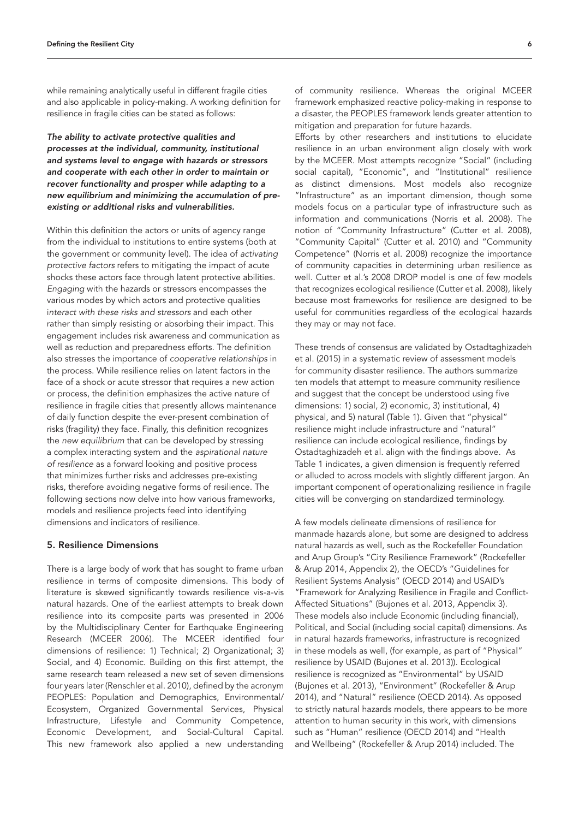while remaining analytically useful in different fragile cities and also applicable in policy-making. A working definition for resilience in fragile cities can be stated as follows:

*The ability to activate protective qualities and processes at the individual, community, institutional and systems level to engage with hazards or stressors and cooperate with each other in order to maintain or recover functionality and prosper while adapting to a new equilibrium and minimizing the accumulation of preexisting or additional risks and vulnerabilities.*

Within this definition the actors or units of agency range from the individual to institutions to entire systems (both at the government or community level). The idea of *activating protective factors* refers to mitigating the impact of acute shocks these actors face through latent protective abilities. *Engaging* with the hazards or stressors encompasses the various modes by which actors and protective qualities i*nteract with these risks and stressors* and each other rather than simply resisting or absorbing their impact. This engagement includes risk awareness and communication as well as reduction and preparedness efforts. The definition also stresses the importance of *cooperative relationships* in the process. While resilience relies on latent factors in the face of a shock or acute stressor that requires a new action or process, the definition emphasizes the active nature of resilience in fragile cities that presently allows maintenance of daily function despite the ever-present combination of risks (fragility) they face. Finally, this definition recognizes the *new equilibrium* that can be developed by stressing a complex interacting system and the *aspirational nature of resilience* as a forward looking and positive process that minimizes further risks and addresses pre-existing risks, therefore avoiding negative forms of resilience. The following sections now delve into how various frameworks, models and resilience projects feed into identifying dimensions and indicators of resilience.

#### 5. Resilience Dimensions

There is a large body of work that has sought to frame urban resilience in terms of composite dimensions. This body of literature is skewed significantly towards resilience vis-a-vis natural hazards. One of the earliest attempts to break down resilience into its composite parts was presented in 2006 by the Multidisciplinary Center for Earthquake Engineering Research (MCEER 2006). The MCEER identified four dimensions of resilience: 1) Technical; 2) Organizational; 3) Social, and 4) Economic. Building on this first attempt, the same research team released a new set of seven dimensions four years later (Renschler et al. 2010), defined by the acronym PEOPLES: Population and Demographics, Environmental/ Ecosystem, Organized Governmental Services, Physical Infrastructure, Lifestyle and Community Competence, Economic Development, and Social-Cultural Capital. This new framework also applied a new understanding

of community resilience. Whereas the original MCEER framework emphasized reactive policy-making in response to a disaster, the PEOPLES framework lends greater attention to mitigation and preparation for future hazards.

Efforts by other researchers and institutions to elucidate resilience in an urban environment align closely with work by the MCEER. Most attempts recognize "Social" (including social capital), "Economic", and "Institutional" resilience as distinct dimensions. Most models also recognize "Infrastructure" as an important dimension, though some models focus on a particular type of infrastructure such as information and communications (Norris et al. 2008). The notion of "Community Infrastructure" (Cutter et al. 2008), "Community Capital" (Cutter et al. 2010) and "Community Competence" (Norris et al. 2008) recognize the importance of community capacities in determining urban resilience as well. Cutter et al.'s 2008 DROP model is one of few models that recognizes ecological resilience (Cutter et al. 2008), likely because most frameworks for resilience are designed to be useful for communities regardless of the ecological hazards they may or may not face.

These trends of consensus are validated by Ostadtaghizadeh et al. (2015) in a systematic review of assessment models for community disaster resilience. The authors summarize ten models that attempt to measure community resilience and suggest that the concept be understood using five dimensions: 1) social, 2) economic, 3) institutional, 4) physical, and 5) natural (Table 1). Given that "physical" resilience might include infrastructure and "natural" resilience can include ecological resilience, findings by Ostadtaghizadeh et al. align with the findings above. As Table 1 indicates, a given dimension is frequently referred or alluded to across models with slightly different jargon. An important component of operationalizing resilience in fragile cities will be converging on standardized terminology.

A few models delineate dimensions of resilience for manmade hazards alone, but some are designed to address natural hazards as well, such as the Rockefeller Foundation and Arup Group's "City Resilience Framework" (Rockefeller & Arup 2014, Appendix 2), the OECD's "Guidelines for Resilient Systems Analysis" (OECD 2014) and USAID's "Framework for Analyzing Resilience in Fragile and Conflict-Affected Situations" (Bujones et al. 2013, Appendix 3). These models also include Economic (including financial), Political, and Social (including social capital) dimensions. As in natural hazards frameworks, infrastructure is recognized in these models as well, (for example, as part of "Physical" resilience by USAID (Bujones et al. 2013)). Ecological resilience is recognized as "Environmental" by USAID (Bujones et al. 2013), "Environment" (Rockefeller & Arup 2014), and "Natural" resilience (OECD 2014). As opposed to strictly natural hazards models, there appears to be more attention to human security in this work, with dimensions such as "Human" resilience (OECD 2014) and "Health and Wellbeing" (Rockefeller & Arup 2014) included. The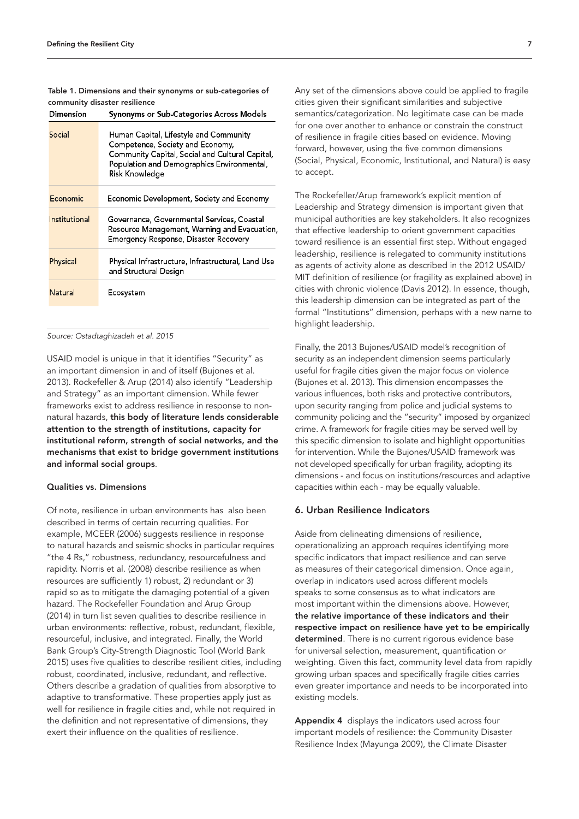| Dimension     | Synonyms or Sub-Categories Across Models                                                                                                                                                      |
|---------------|-----------------------------------------------------------------------------------------------------------------------------------------------------------------------------------------------|
| Social        | Human Capital, Lifestyle and Community<br>Competence, Society and Economy,<br>Community Capital, Social and Cultural Capital,<br>Population and Demographics Environmental,<br>Risk Knowledge |
| Economic      | Economic Development, Society and Economy                                                                                                                                                     |
| Institutional | Governance, Governmental Services, Coastal<br>Resource Management, Warning and Evacuation<br>Emergency Response, Disaster Recovery                                                            |
| Physical      | Physical Infrastructure, Infrastructural, Land Use<br>and Structural Design                                                                                                                   |
| Natural       | Ecosystem                                                                                                                                                                                     |

# Table 1. Dimensions and their synonyms or sub-categories of community disaster resilience

*Source: Ostadtaghizadeh et al. 2015*

USAID model is unique in that it identifies "Security" as an important dimension in and of itself (Bujones et al. 2013). Rockefeller & Arup (2014) also identify "Leadership and Strategy" as an important dimension. While fewer frameworks exist to address resilience in response to nonnatural hazards, this body of literature lends considerable attention to the strength of institutions, capacity for institutional reform, strength of social networks, and the mechanisms that exist to bridge government institutions and informal social groups.

# Qualities vs. Dimensions

Of note, resilience in urban environments has also been described in terms of certain recurring qualities. For example, MCEER (2006) suggests resilience in response to natural hazards and seismic shocks in particular requires "the 4 Rs," robustness, redundancy, resourcefulness and rapidity. Norris et al. (2008) describe resilience as when resources are sufficiently 1) robust, 2) redundant or 3) rapid so as to mitigate the damaging potential of a given hazard. The Rockefeller Foundation and Arup Group (2014) in turn list seven qualities to describe resilience in urban environments: reflective, robust, redundant, flexible, resourceful, inclusive, and integrated. Finally, the World Bank Group's City-Strength Diagnostic Tool (World Bank 2015) uses five qualities to describe resilient cities, including robust, coordinated, inclusive, redundant, and reflective. Others describe a gradation of qualities from absorptive to adaptive to transformative. These properties apply just as well for resilience in fragile cities and, while not required in the definition and not representative of dimensions, they exert their influence on the qualities of resilience.

Any set of the dimensions above could be applied to fragile cities given their significant similarities and subjective semantics/categorization. No legitimate case can be made for one over another to enhance or constrain the construct of resilience in fragile cities based on evidence. Moving forward, however, using the five common dimensions (Social, Physical, Economic, Institutional, and Natural) is easy to accept.

The Rockefeller/Arup framework's explicit mention of Leadership and Strategy dimension is important given that municipal authorities are key stakeholders. It also recognizes that effective leadership to orient government capacities toward resilience is an essential first step. Without engaged leadership, resilience is relegated to community institutions as agents of activity alone as described in the 2012 USAID/ MIT definition of resilience (or fragility as explained above) in cities with chronic violence (Davis 2012). In essence, though, this leadership dimension can be integrated as part of the formal "Institutions" dimension, perhaps with a new name to highlight leadership.

Finally, the 2013 Bujones/USAID model's recognition of security as an independent dimension seems particularly useful for fragile cities given the major focus on violence (Bujones et al. 2013). This dimension encompasses the various influences, both risks and protective contributors, upon security ranging from police and judicial systems to community policing and the "security" imposed by organized crime. A framework for fragile cities may be served well by this specific dimension to isolate and highlight opportunities for intervention. While the Bujones/USAID framework was not developed specifically for urban fragility, adopting its dimensions - and focus on institutions/resources and adaptive capacities within each - may be equally valuable.

## 6. Urban Resilience Indicators

Aside from delineating dimensions of resilience, operationalizing an approach requires identifying more specific indicators that impact resilience and can serve as measures of their categorical dimension. Once again, overlap in indicators used across different models speaks to some consensus as to what indicators are most important within the dimensions above. However, the relative importance of these indicators and their respective impact on resilience have yet to be empirically determined. There is no current rigorous evidence base for universal selection, measurement, quantification or weighting. Given this fact, community level data from rapidly growing urban spaces and specifically fragile cities carries even greater importance and needs to be incorporated into existing models.

Appendix 4 displays the indicators used across four important models of resilience: the Community Disaster Resilience Index (Mayunga 2009), the Climate Disaster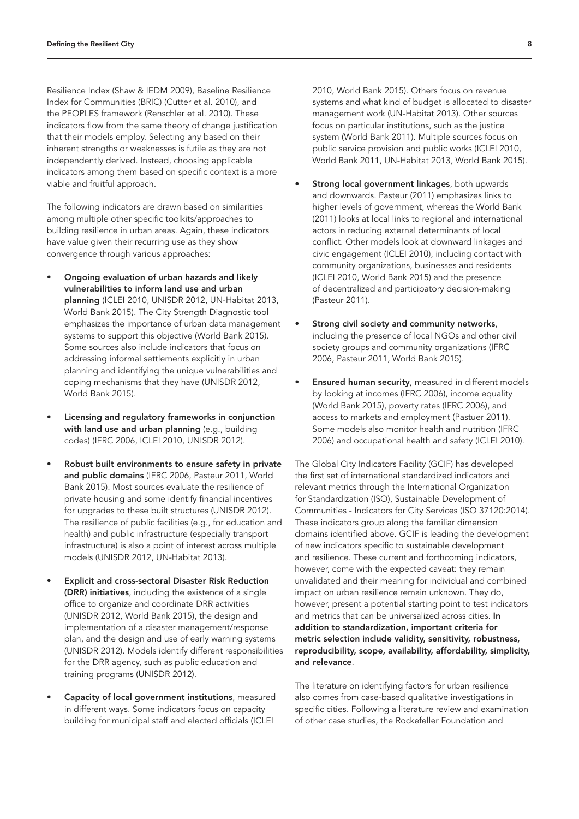Resilience Index (Shaw & IEDM 2009), Baseline Resilience Index for Communities (BRIC) (Cutter et al. 2010), and the PEOPLES framework (Renschler et al. 2010). These indicators flow from the same theory of change justification that their models employ. Selecting any based on their inherent strengths or weaknesses is futile as they are not independently derived. Instead, choosing applicable indicators among them based on specific context is a more viable and fruitful approach.

The following indicators are drawn based on similarities among multiple other specific toolkits/approaches to building resilience in urban areas. Again, these indicators have value given their recurring use as they show convergence through various approaches:

- Ongoing evaluation of urban hazards and likely vulnerabilities to inform land use and urban planning (ICLEI 2010, UNISDR 2012, UN-Habitat 2013, World Bank 2015). The City Strength Diagnostic tool emphasizes the importance of urban data management systems to support this objective (World Bank 2015). Some sources also include indicators that focus on addressing informal settlements explicitly in urban planning and identifying the unique vulnerabilities and coping mechanisms that they have (UNISDR 2012, World Bank 2015).
- Licensing and regulatory frameworks in conjunction with land use and urban planning (e.g., building codes) (IFRC 2006, ICLEI 2010, UNISDR 2012).
- Robust built environments to ensure safety in private and public domains (IFRC 2006, Pasteur 2011, World Bank 2015). Most sources evaluate the resilience of private housing and some identify financial incentives for upgrades to these built structures (UNISDR 2012). The resilience of public facilities (e.g., for education and health) and public infrastructure (especially transport infrastructure) is also a point of interest across multiple models (UNISDR 2012, UN-Habitat 2013).
- Explicit and cross-sectoral Disaster Risk Reduction (DRR) initiatives, including the existence of a single office to organize and coordinate DRR activities (UNISDR 2012, World Bank 2015), the design and implementation of a disaster management/response plan, and the design and use of early warning systems (UNISDR 2012). Models identify different responsibilities for the DRR agency, such as public education and training programs (UNISDR 2012).
- Capacity of local government institutions, measured in different ways. Some indicators focus on capacity building for municipal staff and elected officials (ICLEI

2010, World Bank 2015). Others focus on revenue systems and what kind of budget is allocated to disaster management work (UN-Habitat 2013). Other sources focus on particular institutions, such as the justice system (World Bank 2011). Multiple sources focus on public service provision and public works (ICLEI 2010, World Bank 2011, UN-Habitat 2013, World Bank 2015).

- Strong local government linkages, both upwards and downwards. Pasteur (2011) emphasizes links to higher levels of government, whereas the World Bank (2011) looks at local links to regional and international actors in reducing external determinants of local conflict. Other models look at downward linkages and civic engagement (ICLEI 2010), including contact with community organizations, businesses and residents (ICLEI 2010, World Bank 2015) and the presence of decentralized and participatory decision-making (Pasteur 2011).
- Strong civil society and community networks, including the presence of local NGOs and other civil society groups and community organizations (IFRC 2006, Pasteur 2011, World Bank 2015).
- **Ensured human security**, measured in different models by looking at incomes (IFRC 2006), income equality (World Bank 2015), poverty rates (IFRC 2006), and access to markets and employment (Pastuer 2011). Some models also monitor health and nutrition (IFRC 2006) and occupational health and safety (ICLEI 2010).

The Global City Indicators Facility (GCIF) has developed the first set of international standardized indicators and relevant metrics through the International Organization for Standardization (ISO), Sustainable Development of Communities - Indicators for City Services (ISO 37120:2014). These indicators group along the familiar dimension domains identified above. GCIF is leading the development of new indicators specific to sustainable development and resilience. These current and forthcoming indicators, however, come with the expected caveat: they remain unvalidated and their meaning for individual and combined impact on urban resilience remain unknown. They do, however, present a potential starting point to test indicators and metrics that can be universalized across cities. In addition to standardization, important criteria for metric selection include validity, sensitivity, robustness, reproducibility, scope, availability, affordability, simplicity, and relevance.

The literature on identifying factors for urban resilience also comes from case-based qualitative investigations in specific cities. Following a literature review and examination of other case studies, the Rockefeller Foundation and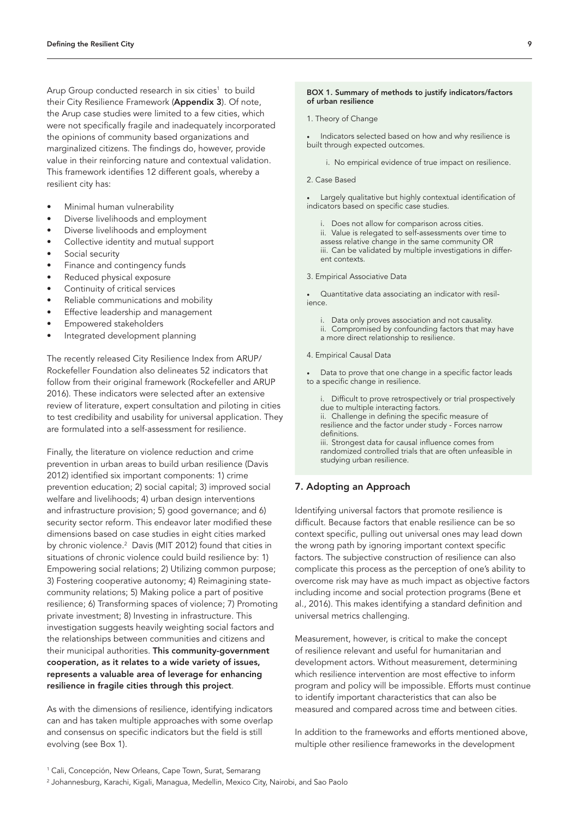Arup Group conducted research in six cities<sup>1</sup> to build their City Resilience Framework (Appendix 3). Of note, the Arup case studies were limited to a few cities, which were not specifically fragile and inadequately incorporated the opinions of community based organizations and marginalized citizens. The findings do, however, provide value in their reinforcing nature and contextual validation. This framework identifies 12 different goals, whereby a resilient city has:

- Minimal human vulnerability
- Diverse livelihoods and employment
- Diverse livelihoods and employment
- Collective identity and mutual support
- Social security
- Finance and contingency funds
- Reduced physical exposure
- Continuity of critical services
- Reliable communications and mobility
- Effective leadership and management
- Empowered stakeholders
- Integrated development planning

The recently released City Resilience Index from ARUP/ Rockefeller Foundation also delineates 52 indicators that follow from their original framework (Rockefeller and ARUP 2016). These indicators were selected after an extensive review of literature, expert consultation and piloting in cities to test credibility and usability for universal application. They are formulated into a self-assessment for resilience.

Finally, the literature on violence reduction and crime prevention in urban areas to build urban resilience (Davis 2012) identified six important components: 1) crime prevention education; 2) social capital; 3) improved social welfare and livelihoods; 4) urban design interventions and infrastructure provision; 5) good governance; and 6) security sector reform. This endeavor later modified these dimensions based on case studies in eight cities marked by chronic violence.<sup>2</sup> Davis (MIT 2012) found that cities in situations of chronic violence could build resilience by: 1) Empowering social relations; 2) Utilizing common purpose; 3) Fostering cooperative autonomy; 4) Reimagining statecommunity relations; 5) Making police a part of positive resilience; 6) Transforming spaces of violence; 7) Promoting private investment; 8) Investing in infrastructure. This investigation suggests heavily weighting social factors and the relationships between communities and citizens and their municipal authorities. This community-government cooperation, as it relates to a wide variety of issues, represents a valuable area of leverage for enhancing resilience in fragile cities through this project.

As with the dimensions of resilience, identifying indicators can and has taken multiple approaches with some overlap and consensus on specific indicators but the field is still evolving (see Box 1).

#### BOX 1. Summary of methods to justify indicators/factors of urban resilience

1. Theory of Change

• Indicators selected based on how and why resilience is built through expected outcomes.

i. No empirical evidence of true impact on resilience.

2. Case Based

Largely qualitative but highly contextual identification of indicators based on specific case studies.

i. Does not allow for comparison across cities.

ii. Value is relegated to self-assessments over time to assess relative change in the same community OR iii. Can be validated by multiple investigations in different contexts.

3. Empirical Associative Data

• Quantitative data associating an indicator with resilience.

- i. Data only proves association and not causality.
- ii. Compromised by confounding factors that may have
- a more direct relationship to resilience.
- 4. Empirical Causal Data

Data to prove that one change in a specific factor leads to a specific change in resilience.

i. Difficult to prove retrospectively or trial prospectively due to multiple interacting factors.

ii. Challenge in defining the specific measure of resilience and the factor under study - Forces narrow definitions. iii. Strongest data for causal influence comes from

randomized controlled trials that are often unfeasible in studying urban resilience.

## 7. Adopting an Approach

Identifying universal factors that promote resilience is difficult. Because factors that enable resilience can be so context specific, pulling out universal ones may lead down the wrong path by ignoring important context specific factors. The subjective construction of resilience can also complicate this process as the perception of one's ability to overcome risk may have as much impact as objective factors including income and social protection programs (Bene et al., 2016). This makes identifying a standard definition and universal metrics challenging.

Measurement, however, is critical to make the concept of resilience relevant and useful for humanitarian and development actors. Without measurement, determining which resilience intervention are most effective to inform program and policy will be impossible. Efforts must continue to identify important characteristics that can also be measured and compared across time and between cities.

In addition to the frameworks and efforts mentioned above, multiple other resilience frameworks in the development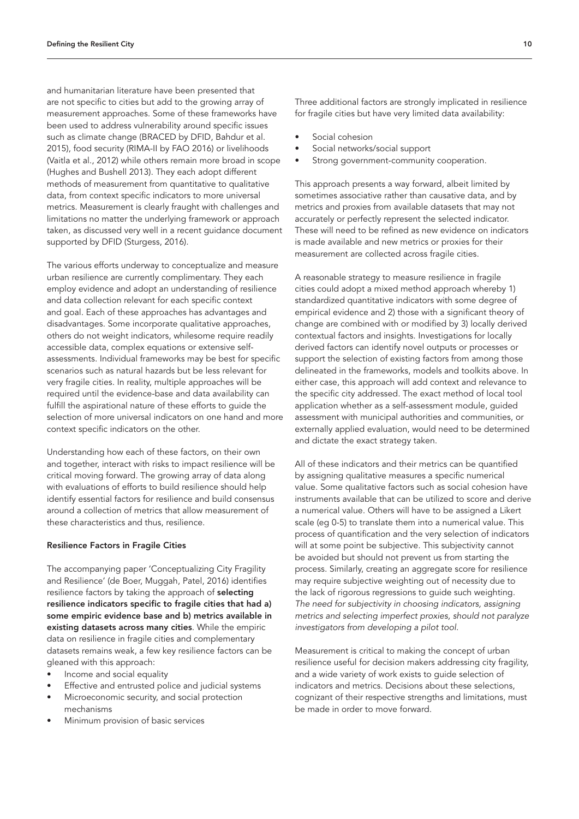and humanitarian literature have been presented that are not specific to cities but add to the growing array of measurement approaches. Some of these frameworks have been used to address vulnerability around specific issues such as climate change (BRACED by DFID, Bahdur et al. 2015), food security (RIMA-II by FAO 2016) or livelihoods (Vaitla et al., 2012) while others remain more broad in scope (Hughes and Bushell 2013). They each adopt different methods of measurement from quantitative to qualitative data, from context specific indicators to more universal metrics. Measurement is clearly fraught with challenges and limitations no matter the underlying framework or approach taken, as discussed very well in a recent guidance document supported by DFID (Sturgess, 2016).

The various efforts underway to conceptualize and measure urban resilience are currently complimentary. They each employ evidence and adopt an understanding of resilience and data collection relevant for each specific context and goal. Each of these approaches has advantages and disadvantages. Some incorporate qualitative approaches, others do not weight indicators, whilesome require readily accessible data, complex equations or extensive selfassessments. Individual frameworks may be best for specific scenarios such as natural hazards but be less relevant for very fragile cities. In reality, multiple approaches will be required until the evidence-base and data availability can fulfill the aspirational nature of these efforts to guide the selection of more universal indicators on one hand and more context specific indicators on the other.

Understanding how each of these factors, on their own and together, interact with risks to impact resilience will be critical moving forward. The growing array of data along with evaluations of efforts to build resilience should help identify essential factors for resilience and build consensus around a collection of metrics that allow measurement of these characteristics and thus, resilience.

#### Resilience Factors in Fragile Cities

The accompanying paper 'Conceptualizing City Fragility and Resilience' (de Boer, Muggah, Patel, 2016) identifies resilience factors by taking the approach of selecting resilience indicators specific to fragile cities that had a) some empiric evidence base and b) metrics available in existing datasets across many cities. While the empiric data on resilience in fragile cities and complementary datasets remains weak, a few key resilience factors can be gleaned with this approach:

- Income and social equality
- Effective and entrusted police and judicial systems
- Microeconomic security, and social protection mechanisms
- Minimum provision of basic services

Three additional factors are strongly implicated in resilience for fragile cities but have very limited data availability:

- Social cohesion
- Social networks/social support
- Strong government-community cooperation.

This approach presents a way forward, albeit limited by sometimes associative rather than causative data, and by metrics and proxies from available datasets that may not accurately or perfectly represent the selected indicator. These will need to be refined as new evidence on indicators is made available and new metrics or proxies for their measurement are collected across fragile cities.

A reasonable strategy to measure resilience in fragile cities could adopt a mixed method approach whereby 1) standardized quantitative indicators with some degree of empirical evidence and 2) those with a significant theory of change are combined with or modified by 3) locally derived contextual factors and insights. Investigations for locally derived factors can identify novel outputs or processes or support the selection of existing factors from among those delineated in the frameworks, models and toolkits above. In either case, this approach will add context and relevance to the specific city addressed. The exact method of local tool application whether as a self-assessment module, guided assessment with municipal authorities and communities, or externally applied evaluation, would need to be determined and dictate the exact strategy taken.

All of these indicators and their metrics can be quantified by assigning qualitative measures a specific numerical value. Some qualitative factors such as social cohesion have instruments available that can be utilized to score and derive a numerical value. Others will have to be assigned a Likert scale (eg 0-5) to translate them into a numerical value. This process of quantification and the very selection of indicators will at some point be subjective. This subjectivity cannot be avoided but should not prevent us from starting the process. Similarly, creating an aggregate score for resilience may require subjective weighting out of necessity due to the lack of rigorous regressions to guide such weighting. *The need for subjectivity in choosing indicators, assigning metrics and selecting imperfect proxies, should not paralyze investigators from developing a pilot tool*.

Measurement is critical to making the concept of urban resilience useful for decision makers addressing city fragility, and a wide variety of work exists to guide selection of indicators and metrics. Decisions about these selections, cognizant of their respective strengths and limitations, must be made in order to move forward.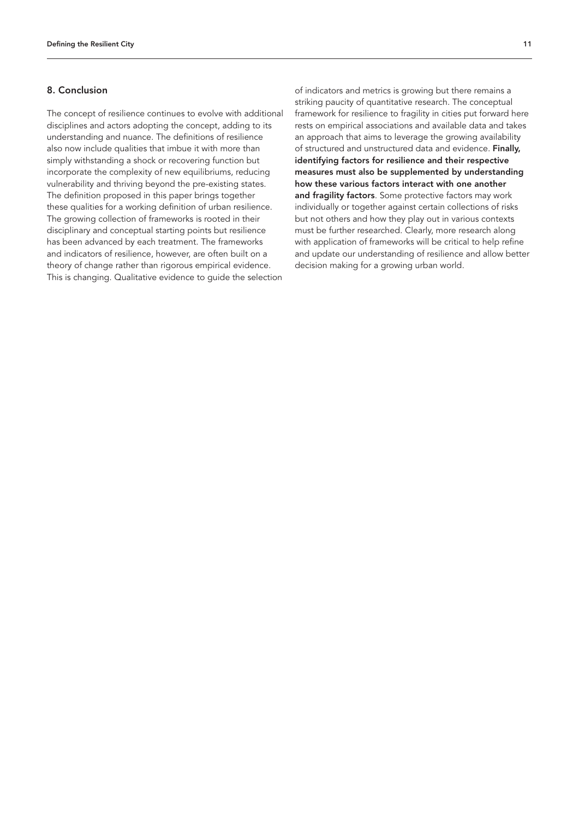## 8. Conclusion

The concept of resilience continues to evolve with additional disciplines and actors adopting the concept, adding to its understanding and nuance. The definitions of resilience also now include qualities that imbue it with more than simply withstanding a shock or recovering function but incorporate the complexity of new equilibriums, reducing vulnerability and thriving beyond the pre-existing states. The definition proposed in this paper brings together these qualities for a working definition of urban resilience. The growing collection of frameworks is rooted in their disciplinary and conceptual starting points but resilience has been advanced by each treatment. The frameworks and indicators of resilience, however, are often built on a theory of change rather than rigorous empirical evidence. This is changing. Qualitative evidence to guide the selection

of indicators and metrics is growing but there remains a striking paucity of quantitative research. The conceptual framework for resilience to fragility in cities put forward here rests on empirical associations and available data and takes an approach that aims to leverage the growing availability of structured and unstructured data and evidence. Finally, identifying factors for resilience and their respective measures must also be supplemented by understanding how these various factors interact with one another and fragility factors. Some protective factors may work individually or together against certain collections of risks but not others and how they play out in various contexts must be further researched. Clearly, more research along with application of frameworks will be critical to help refine and update our understanding of resilience and allow better decision making for a growing urban world.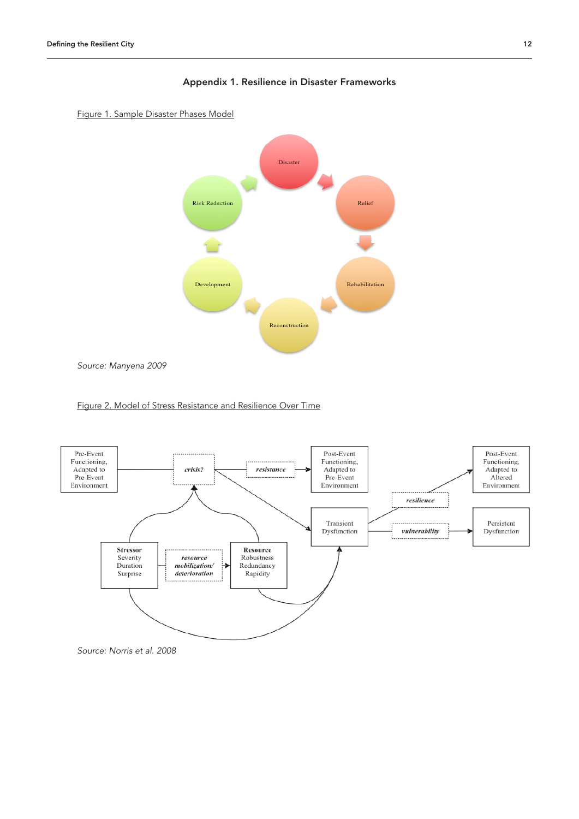



*Source: Manyena 2009*





*Source: Norris et al. 2008*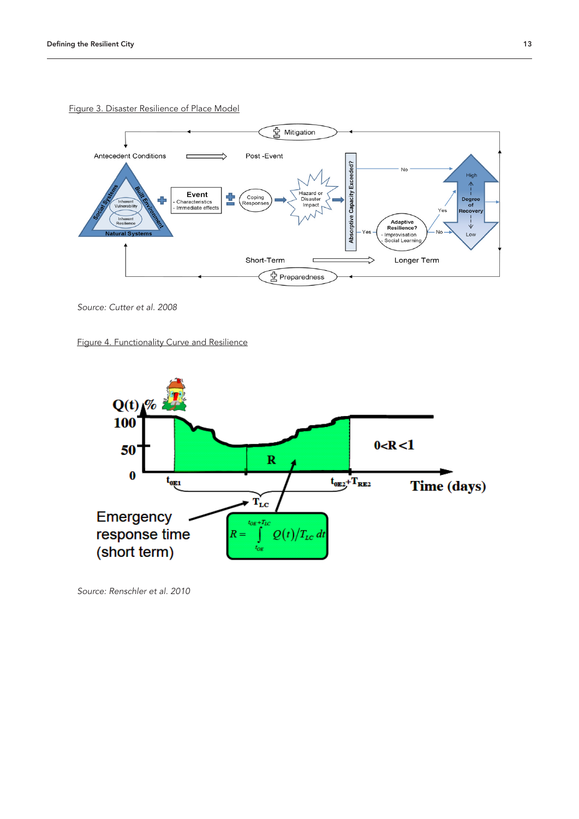

Figure 3. Disaster Resilience of Place Model

*Source: Cutter et al. 2008*

Figure 4. Functionality Curve and Resilience



*Source: Renschler et al. 2010*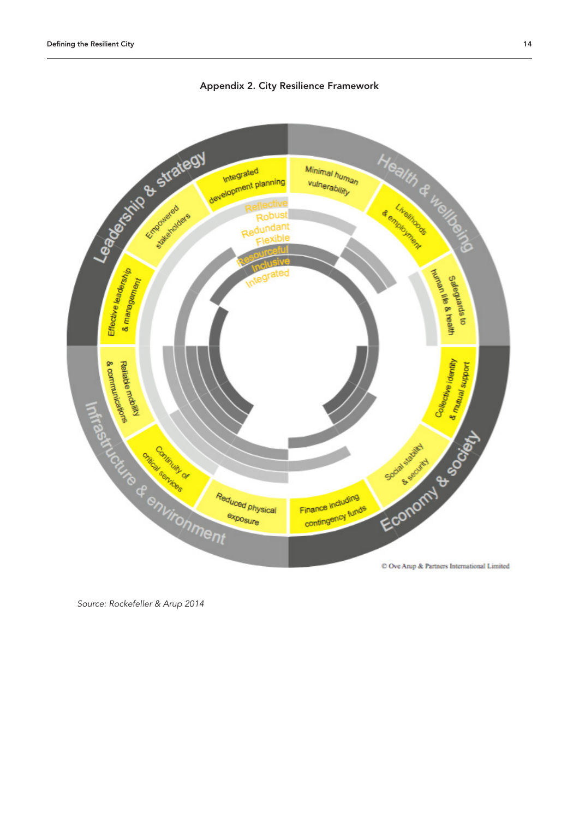

Appendix 2. City Resilience Framework

*Source: Rockefeller & Arup 2014*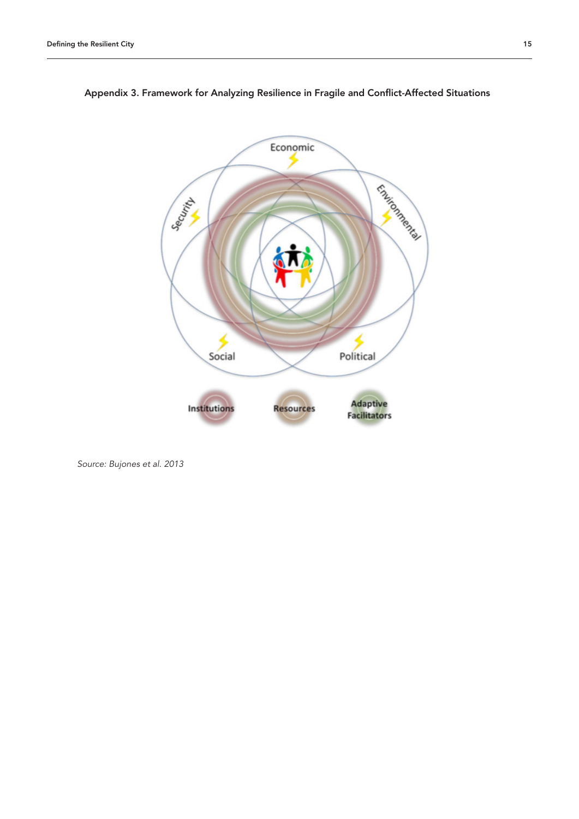



*Source: Bujones et al. 2013*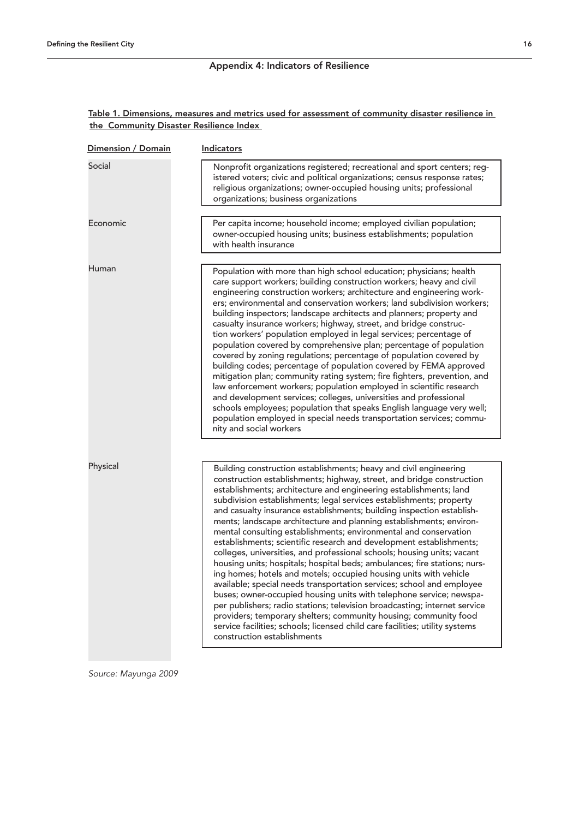# Appendix 4: Indicators of Resilience

# Table 1. Dimensions, measures and metrics used for assessment of community disaster resilience in the Community Disaster Resilience Index

| Dimension / Domain | <b>Indicators</b>                                                                                                                                                                                                                                                                                                                                                                                                                                                                                                                                                                                                                                                                                                                                                                                                                                                                                                                                                                                                                                                                                                                                                                                                              |
|--------------------|--------------------------------------------------------------------------------------------------------------------------------------------------------------------------------------------------------------------------------------------------------------------------------------------------------------------------------------------------------------------------------------------------------------------------------------------------------------------------------------------------------------------------------------------------------------------------------------------------------------------------------------------------------------------------------------------------------------------------------------------------------------------------------------------------------------------------------------------------------------------------------------------------------------------------------------------------------------------------------------------------------------------------------------------------------------------------------------------------------------------------------------------------------------------------------------------------------------------------------|
| Social             | Nonprofit organizations registered; recreational and sport centers; reg-<br>istered voters; civic and political organizations; census response rates;<br>religious organizations; owner-occupied housing units; professional<br>organizations; business organizations                                                                                                                                                                                                                                                                                                                                                                                                                                                                                                                                                                                                                                                                                                                                                                                                                                                                                                                                                          |
| Economic           | Per capita income; household income; employed civilian population;<br>owner-occupied housing units; business establishments; population<br>with health insurance                                                                                                                                                                                                                                                                                                                                                                                                                                                                                                                                                                                                                                                                                                                                                                                                                                                                                                                                                                                                                                                               |
| Human              | Population with more than high school education; physicians; health<br>care support workers; building construction workers; heavy and civil<br>engineering construction workers; architecture and engineering work-<br>ers; environmental and conservation workers; land subdivision workers;<br>building inspectors; landscape architects and planners; property and<br>casualty insurance workers; highway, street, and bridge construc-<br>tion workers' population employed in legal services; percentage of<br>population covered by comprehensive plan; percentage of population<br>covered by zoning regulations; percentage of population covered by<br>building codes; percentage of population covered by FEMA approved<br>mitigation plan; community rating system; fire fighters, prevention, and<br>law enforcement workers; population employed in scientific research<br>and development services; colleges, universities and professional<br>schools employees; population that speaks English language very well;<br>population employed in special needs transportation services; commu-<br>nity and social workers                                                                                          |
| Physical           | Building construction establishments; heavy and civil engineering<br>construction establishments; highway, street, and bridge construction<br>establishments; architecture and engineering establishments; land<br>subdivision establishments; legal services establishments; property<br>and casualty insurance establishments; building inspection establish-<br>ments; landscape architecture and planning establishments; environ-<br>mental consulting establishments; environmental and conservation<br>establishments; scientific research and development establishments;<br>colleges, universities, and professional schools; housing units; vacant<br>housing units; hospitals; hospital beds; ambulances; fire stations; nurs-<br>ing homes; hotels and motels; occupied housing units with vehicle<br>available; special needs transportation services; school and employee<br>buses; owner-occupied housing units with telephone service; newspa-<br>per publishers; radio stations; television broadcasting; internet service<br>providers; temporary shelters; community housing; community food<br>service facilities; schools; licensed child care facilities; utility systems<br>construction establishments |

*Source: Mayunga 2009*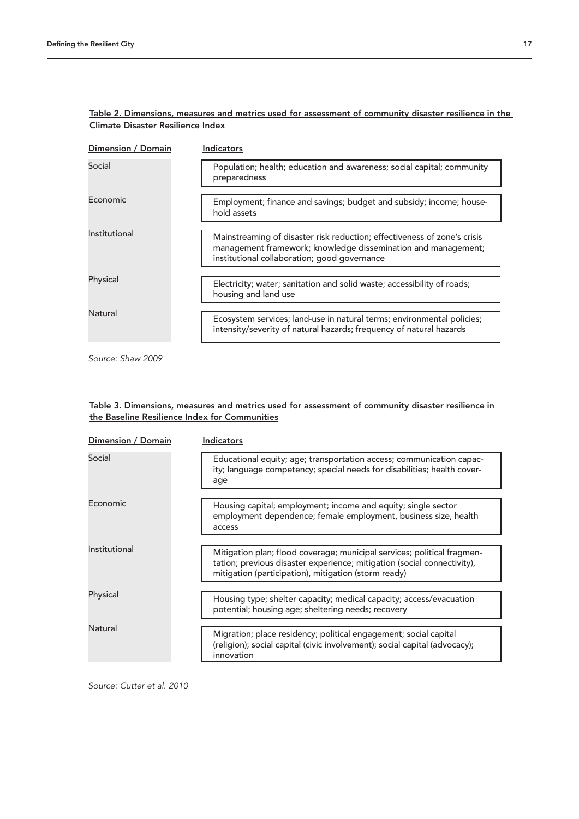| Dimension / Domain | <b>Indicators</b>                                                                                                                                                                         |
|--------------------|-------------------------------------------------------------------------------------------------------------------------------------------------------------------------------------------|
| Social             | Population; health; education and awareness; social capital; community<br>preparedness                                                                                                    |
| Economic           | Employment; finance and savings; budget and subsidy; income; house-<br>hold assets                                                                                                        |
|                    |                                                                                                                                                                                           |
| Institutional      | Mainstreaming of disaster risk reduction; effectiveness of zone's crisis<br>management framework; knowledge dissemination and management;<br>institutional collaboration; good governance |
| Physical           |                                                                                                                                                                                           |
|                    | Electricity; water; sanitation and solid waste; accessibility of roads;<br>housing and land use                                                                                           |
| Natural            |                                                                                                                                                                                           |
|                    | Ecosystem services; land-use in natural terms; environmental policies;<br>intensity/severity of natural hazards; frequency of natural hazards                                             |
|                    |                                                                                                                                                                                           |

# Table 2. Dimensions, measures and metrics used for assessment of community disaster resilience in the Climate Disaster Resilience Index

*Source: Shaw 2009*

# Table 3. Dimensions, measures and metrics used for assessment of community disaster resilience in the Baseline Resilience Index for Communities

|               | Dimension / Domain | Indicators                                                                                                                                                                                                 |
|---------------|--------------------|------------------------------------------------------------------------------------------------------------------------------------------------------------------------------------------------------------|
| Social        |                    | Educational equity; age; transportation access; communication capac-<br>ity; language competency; special needs for disabilities; health cover-<br>age                                                     |
| Economic      |                    |                                                                                                                                                                                                            |
|               |                    | Housing capital; employment; income and equity; single sector<br>employment dependence; female employment, business size, health<br>access                                                                 |
|               |                    |                                                                                                                                                                                                            |
| Institutional |                    | Mitigation plan; flood coverage; municipal services; political fragmen-<br>tation; previous disaster experience; mitigation (social connectivity),<br>mitigation (participation), mitigation (storm ready) |
|               |                    |                                                                                                                                                                                                            |
| Physical      |                    | Housing type; shelter capacity; medical capacity; access/evacuation<br>potential; housing age; sheltering needs; recovery                                                                                  |
| Natural       |                    |                                                                                                                                                                                                            |
|               |                    | Migration; place residency; political engagement; social capital<br>(religion); social capital (civic involvement); social capital (advocacy);<br>innovation                                               |

*Source: Cutter et al. 2010*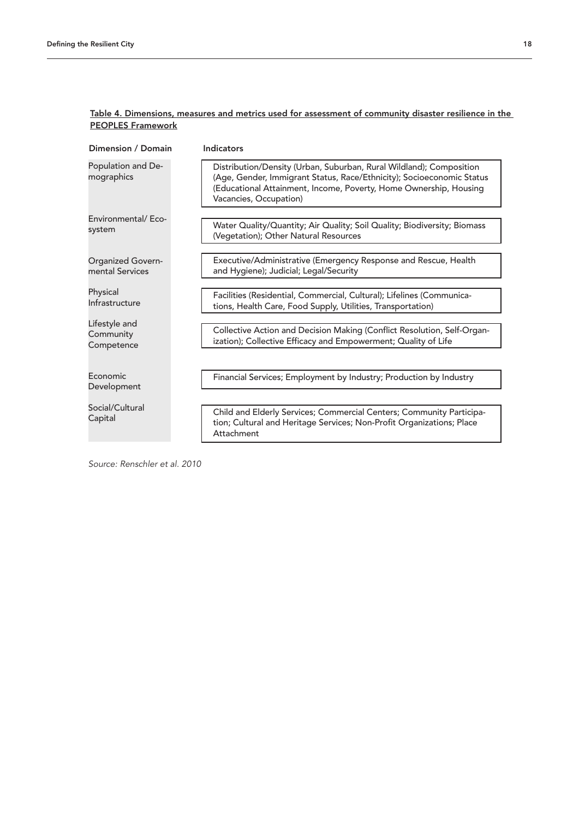| Dimension / Domain                          | Indicators                                                                                                                                                                                                                                  |
|---------------------------------------------|---------------------------------------------------------------------------------------------------------------------------------------------------------------------------------------------------------------------------------------------|
| Population and De-<br>mographics            | Distribution/Density (Urban, Suburban, Rural Wildland); Composition<br>(Age, Gender, Immigrant Status, Race/Ethnicity); Socioeconomic Status<br>(Educational Attainment, Income, Poverty, Home Ownership, Housing<br>Vacancies, Occupation) |
| Environmental/Eco-<br>system                | Water Quality/Quantity; Air Quality; Soil Quality; Biodiversity; Biomass<br>(Vegetation); Other Natural Resources                                                                                                                           |
| <b>Organized Govern-</b><br>mental Services | Executive/Administrative (Emergency Response and Rescue, Health<br>and Hygiene); Judicial; Legal/Security                                                                                                                                   |
| Physical<br>Infrastructure                  | Facilities (Residential, Commercial, Cultural); Lifelines (Communica-<br>tions, Health Care, Food Supply, Utilities, Transportation)                                                                                                        |
| Lifestyle and<br>Community<br>Competence    | Collective Action and Decision Making (Conflict Resolution, Self-Organ-<br>ization); Collective Efficacy and Empowerment; Quality of Life                                                                                                   |
| Economic<br>Development                     | Financial Services; Employment by Industry; Production by Industry                                                                                                                                                                          |
| Social/Cultural<br>Capital                  | Child and Elderly Services; Commercial Centers; Community Participa-<br>tion; Cultural and Heritage Services; Non-Profit Organizations; Place<br>Attachment                                                                                 |

# Table 4. Dimensions, measures and metrics used for assessment of community disaster resilience in the PEOPLES Framework

*Source: Renschler et al. 2010*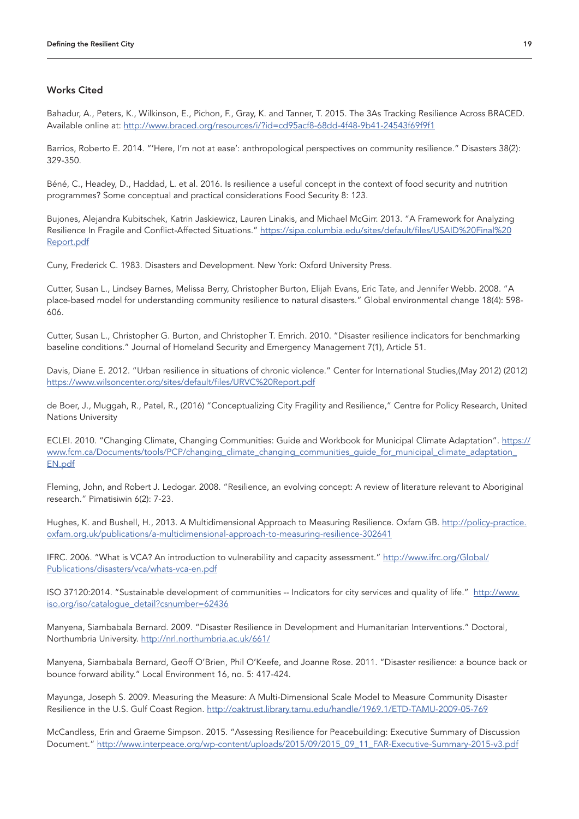# Works Cited

Bahadur, A., Peters, K., Wilkinson, E., Pichon, F., Gray, K. and Tanner, T. 2015. The 3As Tracking Resilience Across BRACED. Available online at:<http://www.braced.org/resources/i/?id=cd95acf8-68dd-4f48-9b41-24543f69f9f1>

Barrios, Roberto E. 2014. "'Here, I'm not at ease': anthropological perspectives on community resilience." Disasters 38(2): 329-350.

Béné, C., Headey, D., Haddad, L. et al. 2016. Is resilience a useful concept in the context of food security and nutrition programmes? Some conceptual and practical considerations Food Security 8: 123.

Bujones, Alejandra Kubitschek, Katrin Jaskiewicz, Lauren Linakis, and Michael McGirr. 2013. "A Framework for Analyzing Resilience In Fragile and Conflict-Affected Situations." [https://sipa.columbia.edu/sites/default/files/USAID%20Final%20](https://sipa.columbia.edu/sites/default/files/USAID%20Final%20Report.pdf ) [Report.pdf](https://sipa.columbia.edu/sites/default/files/USAID%20Final%20Report.pdf )

Cuny, Frederick C. 1983. Disasters and Development. New York: Oxford University Press.

Cutter, Susan L., Lindsey Barnes, Melissa Berry, Christopher Burton, Elijah Evans, Eric Tate, and Jennifer Webb. 2008. "A place-based model for understanding community resilience to natural disasters." Global environmental change 18(4): 598- 606.

Cutter, Susan L., Christopher G. Burton, and Christopher T. Emrich. 2010. "Disaster resilience indicators for benchmarking baseline conditions." Journal of Homeland Security and Emergency Management 7(1), Article 51.

Davis, Diane E. 2012. "Urban resilience in situations of chronic violence." Center for International Studies,(May 2012) (2012) <https://www.wilsoncenter.org/sites/default/files/URVC%20Report.pdf>

de Boer, J., Muggah, R., Patel, R., (2016) "Conceptualizing City Fragility and Resilience," Centre for Policy Research, United Nations University

ECLEI. 2010. "Changing Climate, Changing Communities: Guide and Workbook for Municipal Climate Adaptation". [https://](https://www.fcm.ca/Documents/tools/PCP/changing_climate_changing_communities_guide_for_municipal_climate_adaptation_EN.pdf) [www.fcm.ca/Documents/tools/PCP/changing\\_climate\\_changing\\_communities\\_guide\\_for\\_municipal\\_climate\\_adaptation\\_](https://www.fcm.ca/Documents/tools/PCP/changing_climate_changing_communities_guide_for_municipal_climate_adaptation_EN.pdf) [EN.pdf](https://www.fcm.ca/Documents/tools/PCP/changing_climate_changing_communities_guide_for_municipal_climate_adaptation_EN.pdf)

Fleming, John, and Robert J. Ledogar. 2008. "Resilience, an evolving concept: A review of literature relevant to Aboriginal research." Pimatisiwin 6(2): 7-23.

Hughes, K. and Bushell, H., 2013. A Multidimensional Approach to Measuring Resilience. Oxfam GB. [http://policy-practice.](http://policy-practice.oxfam.org.uk/publications/a-multidimensional-approach-to-measuring-resilience-302641) [oxfam.org.uk/publications/a-multidimensional-approach-to-measuring-resilience-302641](http://policy-practice.oxfam.org.uk/publications/a-multidimensional-approach-to-measuring-resilience-302641)

IFRC. 2006. "What is VCA? An introduction to vulnerability and capacity assessment." [http://www.ifrc.org/Global/](http://www.ifrc.org/Global/Publications/disasters/vca/whats-vca-en.pdf) [Publications/disasters/vca/whats-vca-en.pdf](http://www.ifrc.org/Global/Publications/disasters/vca/whats-vca-en.pdf)

ISO 37120:2014. "Sustainable development of communities -- Indicators for city services and quality of life." [http://www.](http://www.iso.org/iso/catalogue_detail?csnumber=62436) [iso.org/iso/catalogue\\_detail?csnumber=62436](http://www.iso.org/iso/catalogue_detail?csnumber=62436)

Manyena, Siambabala Bernard. 2009. "Disaster Resilience in Development and Humanitarian Interventions." Doctoral, Northumbria University.<http://nrl.northumbria.ac.uk/661/>

Manyena, Siambabala Bernard, Geoff O'Brien, Phil O'Keefe, and Joanne Rose. 2011. "Disaster resilience: a bounce back or bounce forward ability." Local Environment 16, no. 5: 417-424.

Mayunga, Joseph S. 2009. Measuring the Measure: A Multi-Dimensional Scale Model to Measure Community Disaster Resilience in the U.S. Gulf Coast Region. [http://oaktrust.library.tamu.edu/handle/1969.1/ETD-TAMU-2009-05-769](http://oaktrust.library.tamu.edu/handle/1969.1/ETD-TAMU-2009-05-769 )

McCandless, Erin and Graeme Simpson. 2015. "Assessing Resilience for Peacebuilding: Executive Summary of Discussion Document." [http://www.interpeace.org/wp-content/uploads/2015/09/2015\\_09\\_11\\_FAR-Executive-Summary-2015-v3.pdf](http://www.interpeace.org/wp-content/uploads/2015/09/2015_09_11_FAR-Executive-Summary-2015-v3.pdf )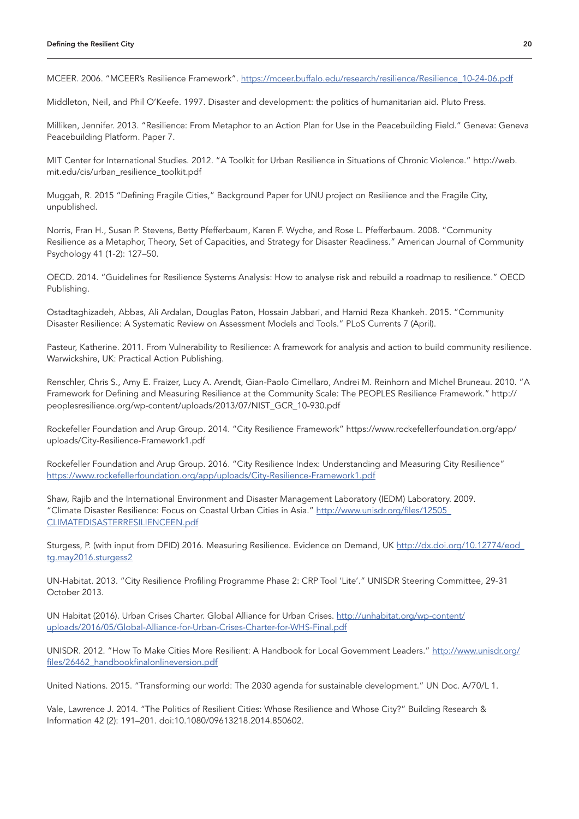MCEER. 2006. "MCEER's Resilience Framework". [https://mceer.buffalo.edu/research/resilience/Resilience\\_10-24-06.pdf](https://mceer.buffalo.edu/research/resilience/Resilience_10-24-06.pdf )

Middleton, Neil, and Phil O'Keefe. 1997. Disaster and development: the politics of humanitarian aid. Pluto Press.

Milliken, Jennifer. 2013. "Resilience: From Metaphor to an Action Plan for Use in the Peacebuilding Field." Geneva: Geneva Peacebuilding Platform. Paper 7.

MIT Center for International Studies. 2012. "A Toolkit for Urban Resilience in Situations of Chronic Violence." http://web. mit.edu/cis/urban\_resilience\_toolkit.pdf

Muggah, R. 2015 "Defining Fragile Cities," Background Paper for UNU project on Resilience and the Fragile City, unpublished.

Norris, Fran H., Susan P. Stevens, Betty Pfefferbaum, Karen F. Wyche, and Rose L. Pfefferbaum. 2008. "Community Resilience as a Metaphor, Theory, Set of Capacities, and Strategy for Disaster Readiness." American Journal of Community Psychology 41 (1-2): 127–50.

OECD. 2014. "Guidelines for Resilience Systems Analysis: How to analyse risk and rebuild a roadmap to resilience." OECD Publishing.

Ostadtaghizadeh, Abbas, Ali Ardalan, Douglas Paton, Hossain Jabbari, and Hamid Reza Khankeh. 2015. "Community Disaster Resilience: A Systematic Review on Assessment Models and Tools." PLoS Currents 7 (April).

Pasteur, Katherine. 2011. From Vulnerability to Resilience: A framework for analysis and action to build community resilience. Warwickshire, UK: Practical Action Publishing.

Renschler, Chris S., Amy E. Fraizer, Lucy A. Arendt, Gian-Paolo Cimellaro, Andrei M. Reinhorn and MIchel Bruneau. 2010. "A Framework for Defining and Measuring Resilience at the Community Scale: The PEOPLES Resilience Framework." http:// peoplesresilience.org/wp-content/uploads/2013/07/NIST\_GCR\_10-930.pdf

Rockefeller Foundation and Arup Group. 2014. "City Resilience Framework" https://www.rockefellerfoundation.org/app/ uploads/City-Resilience-Framework1.pdf

Rockefeller Foundation and Arup Group. 2016. "City Resilience Index: Understanding and Measuring City Resilience" <https://www.rockefellerfoundation.org/app/uploads/City-Resilience-Framework1.pdf>

Shaw, Rajib and the International Environment and Disaster Management Laboratory (IEDM) Laboratory. 2009. "Climate Disaster Resilience: Focus on Coastal Urban Cities in Asia." [http://www.unisdr.org/files/12505\\_](http://www.unisdr.org/files/12505_CLIMATEDISASTERRESILIENCEEN.pdf ) [CLIMATEDISASTERRESILIENCEEN.pdf](http://www.unisdr.org/files/12505_CLIMATEDISASTERRESILIENCEEN.pdf )

Sturgess, P. (with input from DFID) 2016. Measuring Resilience. Evidence on Demand, UK [http://dx.doi.org/10.12774/eod\\_](http://dx.doi.org/10.12774/eod_tg.may2016.sturgess2 ) [tg.may2016.sturgess2](http://dx.doi.org/10.12774/eod_tg.may2016.sturgess2 )

UN-Habitat. 2013. "City Resilience Profiling Programme Phase 2: CRP Tool 'Lite'." UNISDR Steering Committee, 29-31 October 2013.

UN Habitat (2016). Urban Crises Charter. Global Alliance for Urban Crises. [http://unhabitat.org/wp-content/](http://unhabitat.org/wp-content/uploads/2016/05/Global-Alliance-for-Urban-Crises-Charter-for-WHS-Final.pdf ) [uploads/2016/05/Global-Alliance-for-Urban-Crises-Charter-for-WHS-Final.pdf](http://unhabitat.org/wp-content/uploads/2016/05/Global-Alliance-for-Urban-Crises-Charter-for-WHS-Final.pdf )

UNISDR. 2012. "How To Make Cities More Resilient: A Handbook for Local Government Leaders." [http://www.unisdr.org/](http://www.unisdr.org/files/26462_handbookfinalonlineversion.pdf) [files/26462\\_handbookfinalonlineversion.pdf](http://www.unisdr.org/files/26462_handbookfinalonlineversion.pdf)

United Nations. 2015. "Transforming our world: The 2030 agenda for sustainable development." UN Doc. A/70/L 1.

Vale, Lawrence J. 2014. "The Politics of Resilient Cities: Whose Resilience and Whose City?" Building Research & Information 42 (2): 191–201. doi:10.1080/09613218.2014.850602.